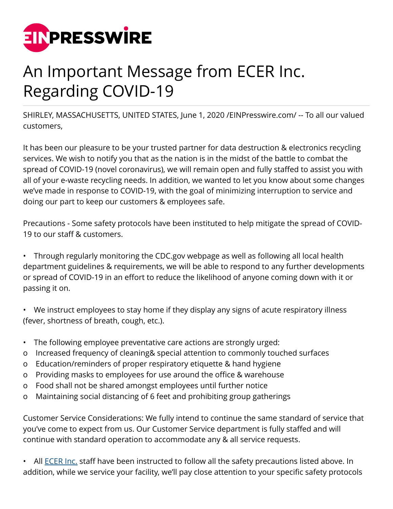

## An Important Message from ECER Inc. Regarding COVID-19

SHIRLEY, MASSACHUSETTS, UNITED STATES, June 1, 2020 [/EINPresswire.com/](http://www.einpresswire.com) -- To all our valued customers,

It has been our pleasure to be your trusted partner for data destruction & electronics recycling services. We wish to notify you that as the nation is in the midst of the battle to combat the spread of COVID-19 (novel coronavirus), we will remain open and fully staffed to assist you with all of your e-waste recycling needs. In addition, we wanted to let you know about some changes we've made in response to COVID-19, with the goal of minimizing interruption to service and doing our part to keep our customers & employees safe.

Precautions - Some safety protocols have been instituted to help mitigate the spread of COVID-19 to our staff & customers.

• Through regularly monitoring the CDC.gov webpage as well as following all local health department guidelines & requirements, we will be able to respond to any further developments or spread of COVID-19 in an effort to reduce the likelihood of anyone coming down with it or passing it on.

• We instruct employees to stay home if they display any signs of acute respiratory illness (fever, shortness of breath, cough, etc.).

- The following employee preventative care actions are strongly urged:
- o Increased frequency of cleaning& special attention to commonly touched surfaces
- o Education/reminders of proper respiratory etiquette & hand hygiene
- o Providing masks to employees for use around the office & warehouse
- o Food shall not be shared amongst employees until further notice
- o Maintaining social distancing of 6 feet and prohibiting group gatherings

Customer Service Considerations: We fully intend to continue the same standard of service that you've come to expect from us. Our Customer Service department is fully staffed and will continue with standard operation to accommodate any & all service requests.

All **ECER Inc.** staff have been instructed to follow all the safety precautions listed above. In addition, while we service your facility, we'll pay close attention to your specific safety protocols